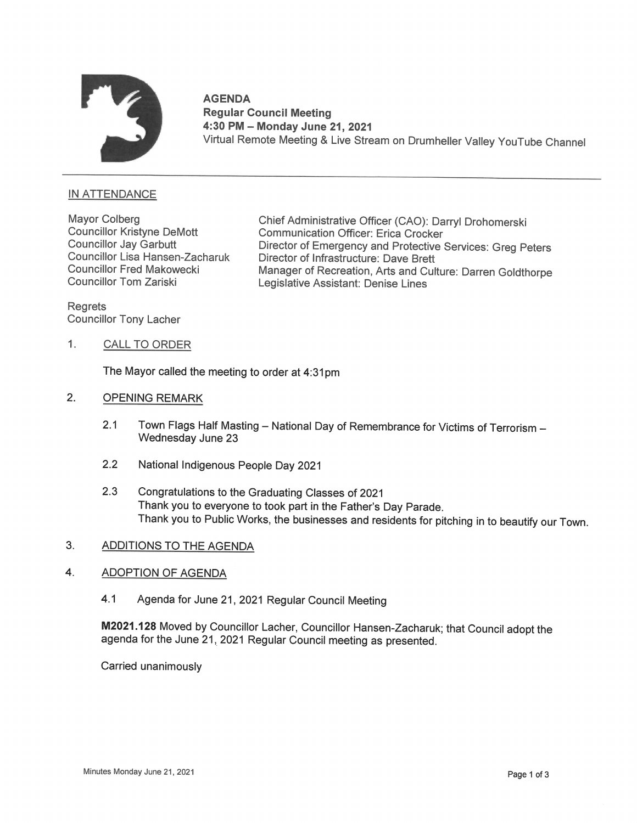

AGENDA Regular Council Meeting 4:30PM — Monday June 21, 2021 Virtual Remote Meeting & Live Stream on Drumheller Valley YouTube Channel

# **IN ATTENDANCE**

Councillor Lisa Hansen-Zacharuk

Mayor Colberg Chief Administrative Officer (CAO): Darryl Drohomerski<br>Councillor Kristyne DeMott Communication Officer: Erica Crocker Councillor Kristyne DeMott Communication Officer: Erica Crocker Director of Emergency and Protective Services: Greg Peters Councillor Lisa Hansen-Zacharuk Director of Infrastructure: Dave Brett<br>Councillor Fred Makowecki Manager of Recreation, Arts and Cul Councillor Fred Makowecki Manager of Recreation, Arts and Culture: Darren Goldthorpe<br>Councillor Tom Zariski Legislative Assistant: Denise Lines

Regrets Councillor Tony Lacher

1. CALL TO ORDER

The Mayor called the meeting to order at 4:31pm

- $2.$ OPENING REMARK
	- 2.1 Town Flags Half Masting National Day of Remembrance for Victims of Terrorism Wednesday June <sup>23</sup>
	- 2.2 National Indigenous People Day 2021
	- 2.3 Congratulations to the Graduating Classes of 2021 Thank you to everyone to took part in the Father's Day Parade. Thank you to Public Works, the businesses and residents for pitching in to beautify our Town.

#### $3.$ ADDITIONSTO THE AGENDA

### $\boldsymbol{4}$ . ADOPTION OF AGENDA

4.1 Agenda for June 21, 2021 Regular Council Meeting

M2021.128 Moved by Councillor Lacher, Councillor Hansen-Zacharuk; that Council adopt the agenda for the June 21, 2021 Regular Council meeting as presented.

Carried unanimously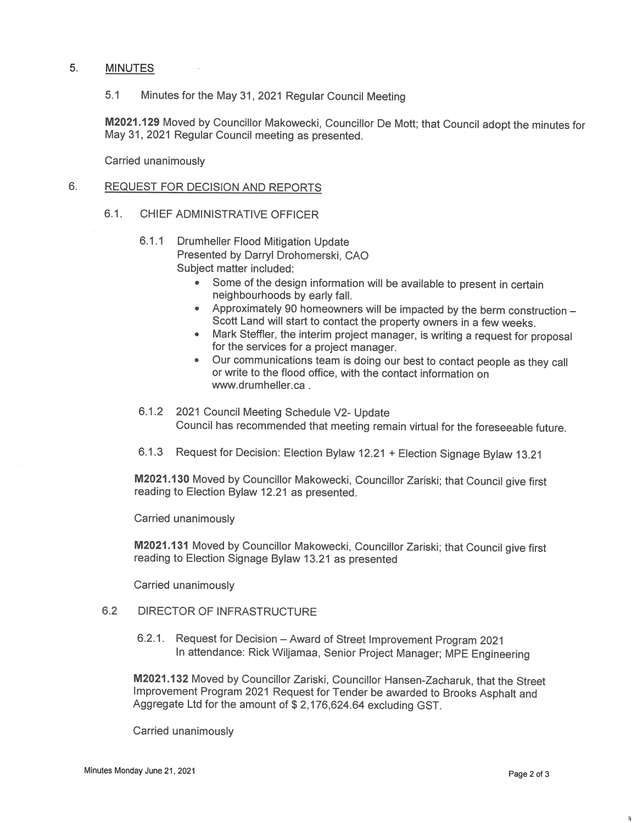## 5. MINUTES

5.1 Minutes for the May 31, 2021 Regular Council Meeting

M2021.129 Moved by Councillor Makowecki, Councillor De Mott; that Council adopt the minutes for May 31, 2021 Regular Council meeting as presented.

Carried unanimously

#### $6.$ REQUEST FOR DECISION AND REPORTS

- 6.1. CHIEF ADMINISTRATIVE OFFICFR
	- 6.1.1 Drumheller Flood Mitigation Update Presented by Darryl Drohomerski, CAO Subject matter included:
		- Some of the design information will be available to present in certain neighbourhoods by early fall.
		- Approximately 90 homeowners will be impacted by the berm construction Scott Land will start to contact the property owners in a few weeks. Mark Steffler, the interim project manager, is writing a request for proposa
		- for the services for a project manager.
		- Our communications team is doing our best to contact people as they call or write to the flood office, with the contact information on www.drumheller.ca .
	- 6.1.2 2021 Council Meeting Schedule V2- Update Council has recommended that meeting remain virtual for the foreseeable future.
	- 6.1.3 Request for Decision: Election Bylaw 12.21 <sup>+</sup> Election Signage Bylaw 13.21

M2021.13O Moved by Councillor Makowecki, Councillor Zariski; that Council give first reading to Election Bylaw 12.21 as presented.

Carried unanimously

M2021.131 Moved by Councillor Makowecki, Councillor Zariski; that Council give first reading to Election Signage Bylaw 13.21 as presented

Carried unanimously

## 6.2 DIRECTOR OF INFRASTRUCTURE

6.2.1. Request for Decision - Award of Street Improvement Program 2021 In attendance: Rick Wiljamaa, Senior Project Manager; MPE Engineering

M2021.132 Moved by Councillor Zariski, Councillor Hansen-Zacharuk, that the Street Improvement Program 2021 Request for Tender be awarded to Brooks Asphalt and Aggregate Ltd for the amount of \$ 2,176,624.64 excluding GST.

Carried unanimously